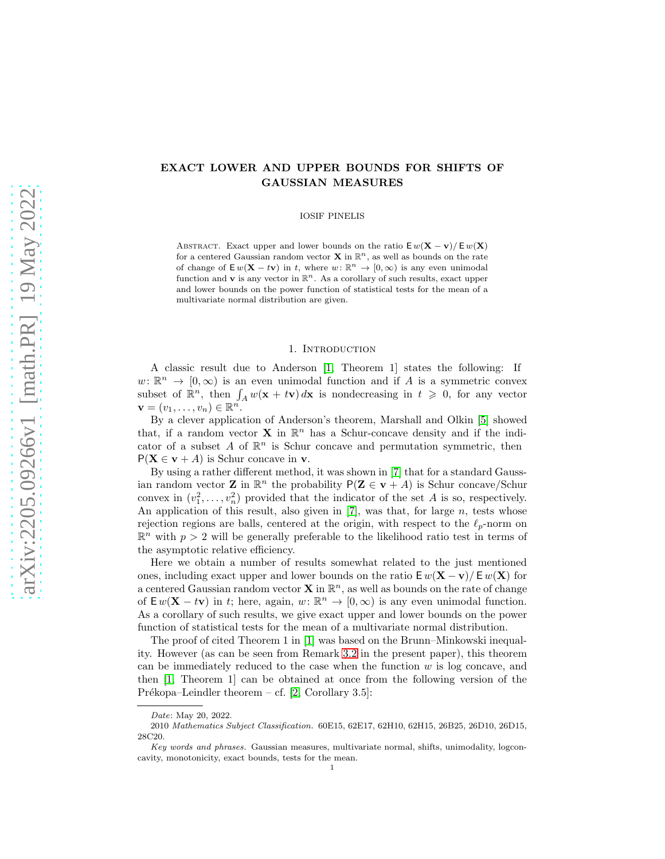# EXACT LOWER AND UPPER BOUNDS FOR SHIFTS OF GAUSSIAN MEASURES

IOSIF PINELIS

ABSTRACT. Exact upper and lower bounds on the ratio  $E w(\mathbf{X} - \mathbf{v})/E w(\mathbf{X})$ for a centered Gaussian random vector **X** in  $\mathbb{R}^n$ , as well as bounds on the rate of change of  $\mathsf{E} w(\mathbf{X} - t\mathbf{v})$  in t, where  $w: \mathbb{R}^n \to [0, \infty)$  is any even unimodal function and **v** is any vector in  $\mathbb{R}^n$ . As a corollary of such results, exact upper and lower bounds on the power function of statistical tests for the mean of a multivariate normal distribution are given.

### 1. INTRODUCTION

<span id="page-0-0"></span>A classic result due to Anderson [\[1,](#page-9-0) Theorem 1] states the following: If  $w: \mathbb{R}^n \to [0, \infty)$  is an even unimodal function and if A is a symmetric convex subset of  $\mathbb{R}^n$ , then  $\int_A w(\mathbf{x} + t\mathbf{v}) d\mathbf{x}$  is nondecreasing in  $t \geq 0$ , for any vector  $\mathbf{v}=(v_1,\ldots,v_n)\in\mathbb{R}^n$ .

By a clever application of Anderson's theorem, Marshall and Olkin [\[5\]](#page-9-1) showed that, if a random vector **X** in  $\mathbb{R}^n$  has a Schur-concave density and if the indicator of a subset A of  $\mathbb{R}^n$  is Schur concave and permutation symmetric, then  $P(X \in v + A)$  is Schur concave in v.

By using a rather different method, it was shown in [\[7\]](#page-9-2) that for a standard Gaussian random vector **Z** in  $\mathbb{R}^n$  the probability  $P(Z \in v + A)$  is Schur concave/Schur convex in  $(v_1^2, \ldots, v_n^2)$  provided that the indicator of the set A is so, respectively. An application of this result, also given in  $[7]$ , was that, for large n, tests whose rejection regions are balls, centered at the origin, with respect to the  $\ell_p$ -norm on  $\mathbb{R}^n$  with  $p > 2$  will be generally preferable to the likelihood ratio test in terms of the asymptotic relative efficiency.

Here we obtain a number of results somewhat related to the just mentioned ones, including exact upper and lower bounds on the ratio  $E w(\mathbf{X} - \mathbf{v})/E w(\mathbf{X})$  for a centered Gaussian random vector **X** in  $\mathbb{R}^n$ , as well as bounds on the rate of change of  $\mathsf{E} w(\mathbf{X} - t\mathbf{v})$  in t; here, again,  $w: \mathbb{R}^n \to [0, \infty)$  is any even unimodal function. As a corollary of such results, we give exact upper and lower bounds on the power function of statistical tests for the mean of a multivariate normal distribution.

The proof of cited Theorem 1 in [\[1\]](#page-9-0) was based on the Brunn–Minkowski inequality. However (as can be seen from Remark [3.2](#page-6-0) in the present paper), this theorem can be immediately reduced to the case when the function  $w$  is log concave, and then [\[1,](#page-9-0) Theorem 1] can be obtained at once from the following version of the Prékopa–Leindler theorem – cf.  $[2, Corollary 3.5]$ :

Date: May 20, 2022.

<sup>2010</sup> Mathematics Subject Classification. 60E15, 62E17, 62H10, 62H15, 26B25, 26D10, 26D15, 28C20.

Key words and phrases. Gaussian measures, multivariate normal, shifts, unimodality, logconcavity, monotonicity, exact bounds, tests for the mean.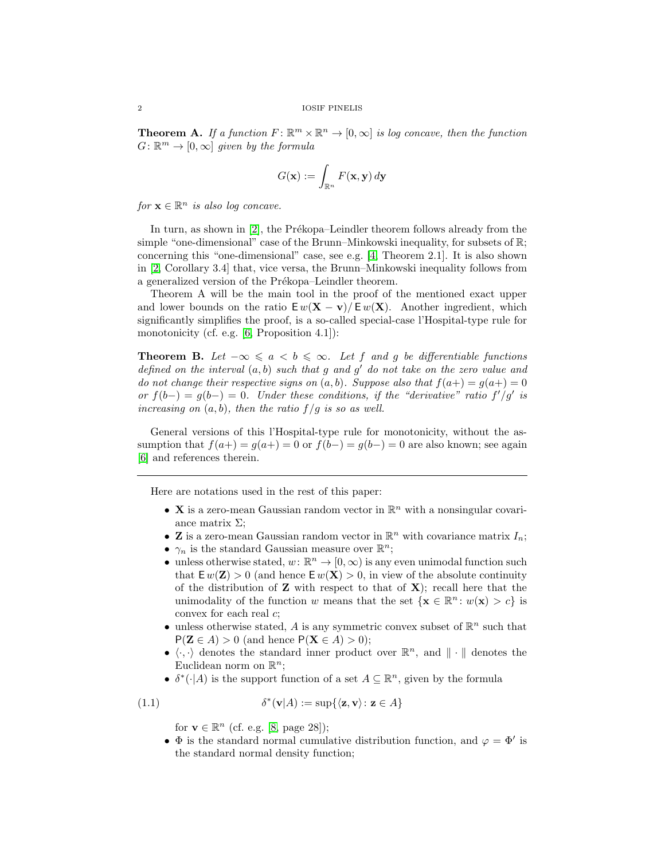**Theorem A.** If a function  $F: \mathbb{R}^m \times \mathbb{R}^n \to [0, \infty]$  is log concave, then the function  $G: \mathbb{R}^m \to [0, \infty]$  given by the formula

$$
G(\mathbf{x}) := \int_{\mathbb{R}^n} F(\mathbf{x}, \mathbf{y}) \, d\mathbf{y}
$$

for  $\mathbf{x} \in \mathbb{R}^n$  is also log concave.

In turn, as shown in  $[2]$ , the Prékopa–Leindler theorem follows already from the simple "one-dimensional" case of the Brunn–Minkowski inequality, for subsets of  $\mathbb{R}$ ; concerning this "one-dimensional" case, see e.g. [\[4,](#page-9-4) Theorem 2.1]. It is also shown in [\[2,](#page-9-3) Corollary 3.4] that, vice versa, the Brunn–Minkowski inequality follows from a generalized version of the Prékopa–Leindler theorem.

Theorem A will be the main tool in the proof of the mentioned exact upper and lower bounds on the ratio  $E w(\mathbf{X} - \mathbf{v})/E w(\mathbf{X})$ . Another ingredient, which significantly simplifies the proof, is a so-called special-case l'Hospital-type rule for monotonicity (cf. e.g. [\[6,](#page-9-5) Proposition 4.1]):

**Theorem B.** Let  $-\infty \leq a < b \leq \infty$ . Let f and g be differentiable functions defined on the interval  $(a, b)$  such that g and g' do not take on the zero value and do not change their respective signs on  $(a, b)$ . Suppose also that  $f(a+) = g(a+) = 0$ or  $f(b-) = g(b-) = 0$ . Under these conditions, if the "derivative" ratio  $f'/g'$  is increasing on  $(a, b)$ , then the ratio  $f/g$  is so as well.

General versions of this l'Hospital-type rule for monotonicity, without the assumption that  $f(a+) = g(a+) = 0$  or  $f(b-) = g(b-) = 0$  are also known; see again [\[6\]](#page-9-5) and references therein.

Here are notations used in the rest of this paper:

- **X** is a zero-mean Gaussian random vector in  $\mathbb{R}^n$  with a nonsingular covariance matrix  $\Sigma$ ;
- **Z** is a zero-mean Gaussian random vector in  $\mathbb{R}^n$  with covariance matrix  $I_n$ ;
- $\gamma_n$  is the standard Gaussian measure over  $\mathbb{R}^n$ ;
- unless otherwise stated,  $w: \mathbb{R}^n \to [0, \infty)$  is any even unimodal function such that  $E w(\mathbf{Z}) > 0$  (and hence  $E w(\mathbf{X}) > 0$ , in view of the absolute continuity of the distribution of  $Z$  with respect to that of  $X$ ); recall here that the unimodality of the function w means that the set  $\{x \in \mathbb{R}^n : w(x) > c\}$  is convex for each real c;
- unless otherwise stated,  $A$  is any symmetric convex subset of  $\mathbb{R}^n$  such that  $P(Z \in A) > 0$  (and hence  $P(X \in A) > 0$ );
- $\langle \cdot, \cdot \rangle$  denotes the standard inner product over  $\mathbb{R}^n$ , and  $\|\cdot\|$  denotes the Euclidean norm on  $\mathbb{R}^n$ ;
- $\delta^*(\cdot | A)$  is the support function of a set  $A \subseteq \mathbb{R}^n$ , given by the formula

(1.1) 
$$
\delta^*(\mathbf{v}|A) := \sup \{ \langle \mathbf{z}, \mathbf{v} \rangle \colon \mathbf{z} \in A \}
$$

<span id="page-1-0"></span>for  $\mathbf{v} \in \mathbb{R}^n$  (cf. e.g. [\[8,](#page-9-6) page 28]);

•  $\Phi$  is the standard normal cumulative distribution function, and  $\varphi = \Phi'$  is the standard normal density function;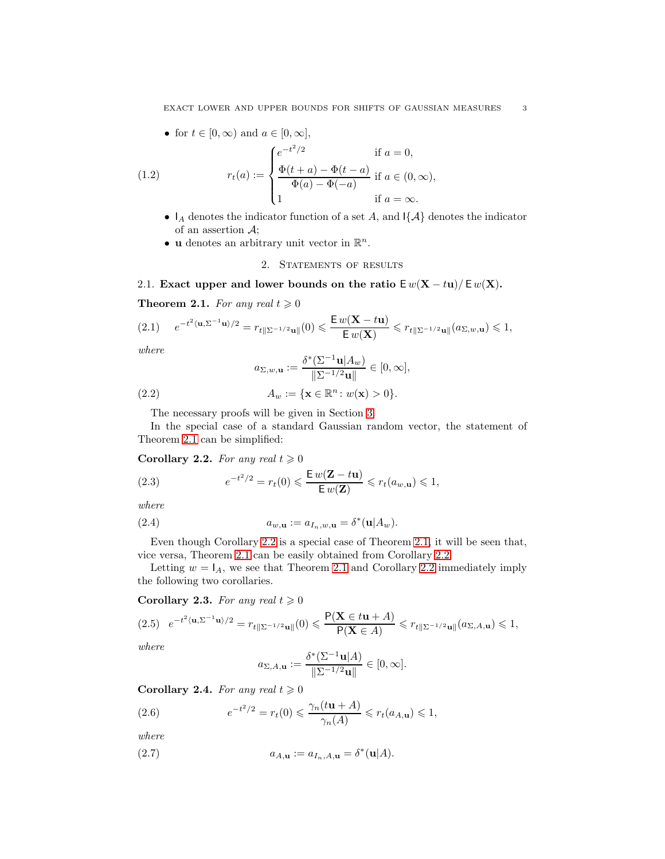<span id="page-2-7"></span>• for  $t \in [0, \infty)$  and  $a \in [0, \infty]$ ,

(1.2) 
$$
r_t(a) := \begin{cases} e^{-t^2/2} & \text{if } a = 0, \\ \frac{\Phi(t+a) - \Phi(t-a)}{\Phi(a) - \Phi(-a)} & \text{if } a \in (0, \infty), \\ 1 & \text{if } a = \infty. \end{cases}
$$

- $I_A$  denotes the indicator function of a set A, and  $\{\mathcal{A}\}\$  denotes the indicator of an assertion  $\mathcal{A}$ ;
- <span id="page-2-6"></span>• **u** denotes an arbitrary unit vector in  $\mathbb{R}^n$ .

### 2. STATEMENTS OF RESULTS

2.1. Exact upper and lower bounds on the ratio  $E w(X - tw)/E w(X)$ .

<span id="page-2-0"></span>**Theorem 2.1.** For any real  $t \geq 0$ 

<span id="page-2-2"></span>
$$
(2.1) \qquad e^{-t^2 \langle {\mathbf u}, \Sigma^{-1} {\mathbf u} \rangle /2} = r_{t \parallel \Sigma^{-1/2} {\mathbf u} \parallel} (0) \leqslant \frac{{\mathsf{E}} \, w(\mathbf{X} - t {\mathbf u})}{{\mathsf{E}} \, w(\mathbf{X})} \leqslant r_{t \parallel \Sigma^{-1/2} {\mathbf u} \parallel} (a_{\Sigma, w, {\mathbf u}}) \leqslant 1,
$$

where

<span id="page-2-10"></span>
$$
a_{\Sigma,w,\mathbf{u}} := \frac{\delta^*(\Sigma^{-1}\mathbf{u}|A_w)}{\|\Sigma^{-1/2}\mathbf{u}\|} \in [0,\infty],
$$

(2.2) 
$$
A_w := \{ \mathbf{x} \in \mathbb{R}^n : w(\mathbf{x}) > 0 \}.
$$

The necessary proofs will be given in Section [3.](#page-5-0)

In the special case of a standard Gaussian random vector, the statement of Theorem [2.1](#page-2-0) can be simplified:

<span id="page-2-1"></span>Corollary 2.2. For any real  $t \geqslant 0$ 

<span id="page-2-12"></span>(2.3) 
$$
e^{-t^2/2} = r_t(0) \leqslant \frac{\mathsf{E} w(\mathbf{Z} - t\mathbf{u})}{\mathsf{E} w(\mathbf{Z})} \leqslant r_t(a_{w,\mathbf{u}}) \leqslant 1,
$$

where

<span id="page-2-11"></span>(2.4) 
$$
a_{w,\mathbf{u}} := a_{I_n,w,\mathbf{u}} = \delta^*(\mathbf{u}|A_w).
$$

Even though Corollary [2.2](#page-2-1) is a special case of Theorem [2.1,](#page-2-0) it will be seen that, vice versa, Theorem [2.1](#page-2-0) can be easily obtained from Corollary [2.2.](#page-2-1)

Letting  $w = I_A$ , we see that Theorem [2.1](#page-2-0) and Corollary [2.2](#page-2-1) immediately imply the following two corollaries.

<span id="page-2-3"></span>**Corollary 2.3.** For any real  $t \geq 0$ 

<span id="page-2-4"></span>
$$
(2.5) \quad e^{-t^2 \langle \mathbf{u}, \Sigma^{-1} \mathbf{u} \rangle / 2} = r_{t \| \Sigma^{-1/2} \mathbf{u} \|} (0) \leqslant \frac{\mathsf{P}(\mathbf{X} \in t\mathbf{u} + A)}{\mathsf{P}(\mathbf{X} \in A)} \leqslant r_{t \| \Sigma^{-1/2} \mathbf{u} \|} (a_{\Sigma, A, \mathbf{u}}) \leqslant 1,
$$

where

<span id="page-2-9"></span><span id="page-2-8"></span>
$$
a_{\Sigma,A,{\bf u}}:=\frac{\delta^*(\Sigma^{-1}{\bf u}|A)}{\|\Sigma^{-1/2}{\bf u}\|}\in[0,\infty].
$$

<span id="page-2-5"></span>**Corollary 2.4.** For any real  $t \geq 0$ 

(2.6) 
$$
e^{-t^2/2} = r_t(0) \leq \frac{\gamma_n(t\mathbf{u} + A)}{\gamma_n(A)} \leq r_t(a_{A,\mathbf{u}}) \leq 1,
$$

where

(2.7) 
$$
a_{A,\mathbf{u}} := a_{I_n,A,\mathbf{u}} = \delta^*(\mathbf{u}|A).
$$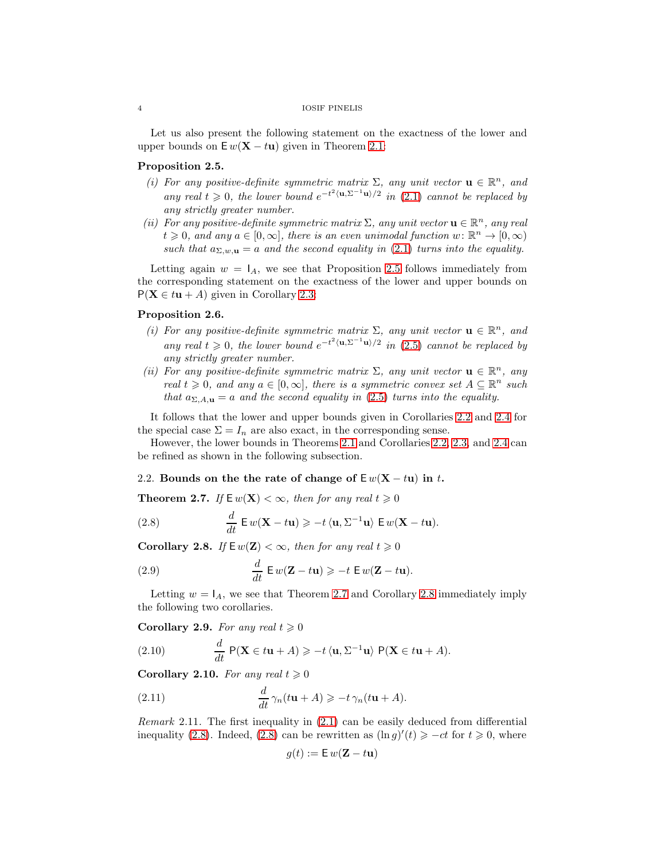### 4 IOSIF PINELIS

Let us also present the following statement on the exactness of the lower and upper bounds on  $E w(X - t u)$  given in Theorem [2.1:](#page-2-0)

## <span id="page-3-0"></span>Proposition 2.5.

- (i) For any positive-definite symmetric matrix  $\Sigma$ , any unit vector  $\mathbf{u} \in \mathbb{R}^n$ , and any real  $t \geq 0$ , the lower bound  $e^{-t^2 \langle \mathbf{u}, \Sigma^{-1} \mathbf{u} \rangle/2}$  in [\(2.1\)](#page-2-2) cannot be replaced by any strictly greater number.
- (ii) For any positive-definite symmetric matrix  $\Sigma$ , any unit vector  $\mathbf{u} \in \mathbb{R}^n$ , any real  $t \geq 0$ , and any  $a \in [0, \infty]$ , there is an even unimodal function  $w \colon \mathbb{R}^n \to [0, \infty)$ such that  $a_{\Sigma,w,\mathbf{u}} = a$  and the second equality in [\(2.1\)](#page-2-2) turns into the equality.

Letting again  $w = I_A$ , we see that Proposition [2.5](#page-3-0) follows immediately from the corresponding statement on the exactness of the lower and upper bounds on  $P(X \in tu + A)$  given in Corollary [2.3:](#page-2-3)

# <span id="page-3-6"></span>Proposition 2.6.

- (i) For any positive-definite symmetric matrix  $\Sigma$ , any unit vector  $\mathbf{u} \in \mathbb{R}^n$ , and any real  $t \geqslant 0$ , the lower bound  $e^{-t^2 \langle \mathbf{u}, \Sigma^{-1} \mathbf{u} \rangle/2}$  in [\(2.5\)](#page-2-4) cannot be replaced by any strictly greater number.
- (ii) For any positive-definite symmetric matrix  $\Sigma$ , any unit vector  $\mathbf{u} \in \mathbb{R}^n$ , any real  $t \geq 0$ , and any  $a \in [0, \infty]$ , there is a symmetric convex set  $A \subseteq \mathbb{R}^n$  such that  $a_{\Sigma,A,\mathbf{u}}=a$  and the second equality in [\(2.5\)](#page-2-4) turns into the equality.

It follows that the lower and upper bounds given in Corollaries [2.2](#page-2-1) and [2.4](#page-2-5) for the special case  $\Sigma = I_n$  are also exact, in the corresponding sense.

However, the lower bounds in Theorems [2.1](#page-2-0) and Corollaries [2.2,](#page-2-1) [2.3,](#page-2-3) and [2.4](#page-2-5) can be refined as shown in the following subsection.

### 2.2. Bounds on the the rate of change of  $E w(X - t u)$  in t.

<span id="page-3-1"></span>**Theorem 2.7.** If  $\mathbf{E} w(\mathbf{X}) < \infty$ , then for any real  $t \geq 0$ 

<span id="page-3-3"></span>(2.8) 
$$
\frac{d}{dt} \mathbf{E} w(\mathbf{X} - t\mathbf{u}) \geqslant -t \langle \mathbf{u}, \Sigma^{-1} \mathbf{u} \rangle \mathbf{E} w(\mathbf{X} - t\mathbf{u}).
$$

<span id="page-3-2"></span>Corollary 2.8. If  $E w(Z) < \infty$ , then for any real  $t \geq 0$ 

(2.9) 
$$
\frac{d}{dt} \mathbf{E} w(\mathbf{Z} - t\mathbf{u}) \geqslant -t \mathbf{E} w(\mathbf{Z} - t\mathbf{u}).
$$

Letting  $w = I_A$ , we see that Theorem [2.7](#page-3-1) and Corollary [2.8](#page-3-2) immediately imply the following two corollaries.

<span id="page-3-4"></span>Corollary 2.9. For any real  $t \geqslant 0$ 

(2.10) 
$$
\frac{d}{dt} P(\mathbf{X} \in t\mathbf{u} + A) \geqslant -t \langle \mathbf{u}, \Sigma^{-1} \mathbf{u} \rangle P(\mathbf{X} \in t\mathbf{u} + A).
$$

<span id="page-3-5"></span>Corollary 2.10. For any real  $t \geqslant 0$ 

(2.11) 
$$
\frac{d}{dt}\gamma_n(t\mathbf{u}+A) \geqslant -t\gamma_n(t\mathbf{u}+A).
$$

Remark 2.11. The first inequality in [\(2.1\)](#page-2-2) can be easily deduced from differential inequality [\(2.8\)](#page-3-3). Indeed, (2.8) can be rewritten as  $(\ln g)'(t) \ge -ct$  for  $t \ge 0$ , where

$$
g(t) := \mathsf{E} w(\mathbf{Z} - t\mathbf{u})
$$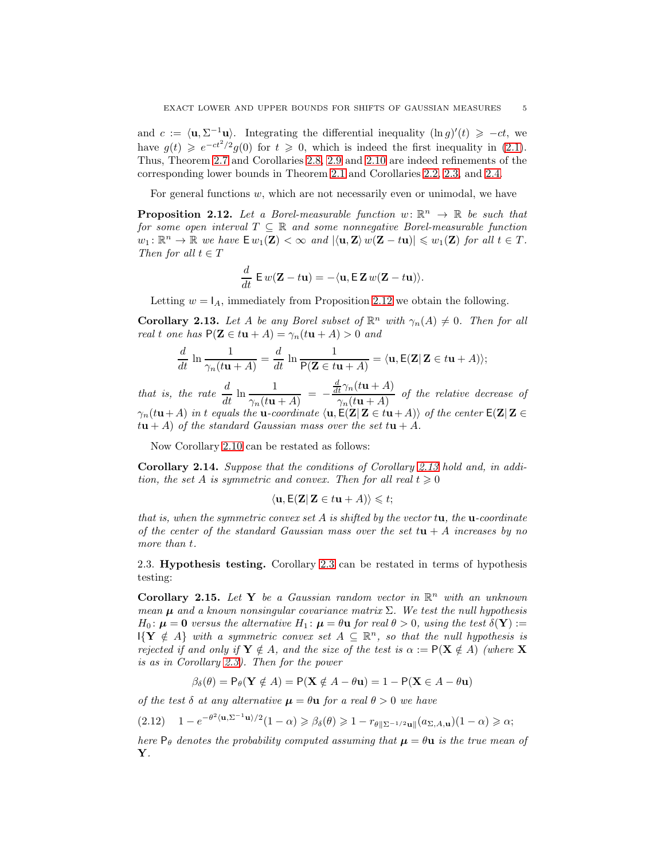and  $c := \langle \mathbf{u}, \Sigma^{-1} \mathbf{u} \rangle$ . Integrating the differential inequality  $(\ln g)'(t) \ge -ct$ , we have  $g(t) \geqslant e^{-ct^2/2} g(0)$  for  $t \geqslant 0$ , which is indeed the first inequality in [\(2.1\)](#page-2-2). Thus, Theorem [2.7](#page-3-1) and Corollaries [2.8,](#page-3-2) [2.9](#page-3-4) and [2.10](#page-3-5) are indeed refinements of the corresponding lower bounds in Theorem [2.1](#page-2-0) and Corollaries [2.2,](#page-2-1) [2.3,](#page-2-3) and [2.4.](#page-2-5)

For general functions  $w$ , which are not necessarily even or unimodal, we have

<span id="page-4-0"></span>**Proposition 2.12.** Let a Borel-measurable function  $w: \mathbb{R}^n \to \mathbb{R}$  be such that for some open interval  $T \subseteq \mathbb{R}$  and some nonnegative Borel-measurable function  $w_1: \mathbb{R}^n \to \mathbb{R}$  we have  $\mathsf{E} w_1(\mathbf{Z}) < \infty$  and  $|\langle \mathbf{u}, \mathbf{Z} \rangle w(\mathbf{Z} - t\mathbf{u})| \leqslant w_1(\mathbf{Z})$  for all  $t \in T$ . Then for all  $t \in T$ 

$$
\frac{d}{dt}\mathsf{E} w(\mathbf{Z}-t\mathbf{u})=-\langle \mathbf{u}, \mathsf{E}\mathbf{Z} w(\mathbf{Z}-t\mathbf{u})\rangle.
$$

Letting  $w = I_A$ , immediately from Proposition [2.12](#page-4-0) we obtain the following.

<span id="page-4-1"></span>**Corollary 2.13.** Let A be any Borel subset of  $\mathbb{R}^n$  with  $\gamma_n(A) \neq 0$ . Then for all real t one has  $P(Z \in tu + A) = \gamma_n(tu + A) > 0$  and

$$
\frac{d}{dt} \ln \frac{1}{\gamma_n(t\mathbf{u} + A)} = \frac{d}{dt} \ln \frac{1}{\mathsf{P}(\mathbf{Z} \in t\mathbf{u} + A)} = \langle \mathbf{u}, \mathsf{E}(\mathbf{Z} | \mathbf{Z} \in t\mathbf{u} + A) \rangle;
$$

that is, the rate  $\frac{d}{dt} \ln \frac{1}{\gamma_n(t\mathbf{u}+A)} = \frac{d}{dt}\gamma_n(t\mathbf{u}+A)$  $\frac{t^{n+1}}{\gamma_n(t\mathbf{u}+A)}$  of the relative decrease of  $\gamma_n(t\mathbf{u}+A)$  in t equals the **u**-coordinate  $\langle \mathbf{u}, \mathsf{E}(\mathbf{Z} | \mathbf{Z} \in t\mathbf{u}+A) \rangle$  of the center  $\mathsf{E}(\mathbf{Z} | \mathbf{Z} \in$  $t\mathbf{u}+A$  of the standard Gaussian mass over the set  $t\mathbf{u}+A$ .

Now Corollary [2.10](#page-3-5) can be restated as follows:

Corollary 2.14. Suppose that the conditions of Corollary [2.13](#page-4-1) hold and, in addition, the set A is symmetric and convex. Then for all real  $t \geq 0$ 

$$
\langle \mathbf{u}, \mathsf{E}(\mathbf{Z} \vert \mathbf{Z} \in t\mathbf{u} + A) \rangle \leq t;
$$

that is, when the symmetric convex set A is shifted by the vector  $t\mathbf{u}$ , the **u**-coordinate of the center of the standard Gaussian mass over the set  $t\mathbf{u} + A$  increases by no more than t.

2.3. Hypothesis testing. Corollary [2.3](#page-2-3) can be restated in terms of hypothesis testing:

Corollary 2.15. Let Y be a Gaussian random vector in  $\mathbb{R}^n$  with an unknown mean  $\mu$  and a known nonsingular covariance matrix  $\Sigma$ . We test the null hypothesis  $H_0: \mu = 0$  versus the alternative  $H_1: \mu = \theta \mathbf{u}$  for real  $\theta > 0$ , using the test  $\delta(\mathbf{Y}) :=$  $\mathsf{I}\{\mathbf{Y}\notin A\}$  with a symmetric convex set  $A\subseteq\mathbb{R}^n$ , so that the null hypothesis is rejected if and only if  $Y \notin A$ , and the size of the test is  $\alpha := P(X \notin A)$  (where X is as in Corollary [2.3\)](#page-2-3). Then for the power

$$
\beta_{\delta}(\theta) = \mathsf{P}_{\theta}(\mathbf{Y} \notin A) = \mathsf{P}(\mathbf{X} \notin A - \theta \mathbf{u}) = 1 - \mathsf{P}(\mathbf{X} \in A - \theta \mathbf{u})
$$

of the test  $\delta$  at any alternative  $\mu = \theta u$  for a real  $\theta > 0$  we have

$$
(2.12) \quad 1 - e^{-\theta^2 \langle \mathbf{u}, \Sigma^{-1} \mathbf{u} \rangle/2} (1 - \alpha) \geq \beta_{\delta}(\theta) \geq 1 - r_{\theta \|\Sigma^{-1/2} \mathbf{u}\|} (a_{\Sigma, A, \mathbf{u}}) (1 - \alpha) \geq \alpha;
$$

here  $P_{\theta}$  denotes the probability computed assuming that  $\mu = \theta u$  is the true mean of Y.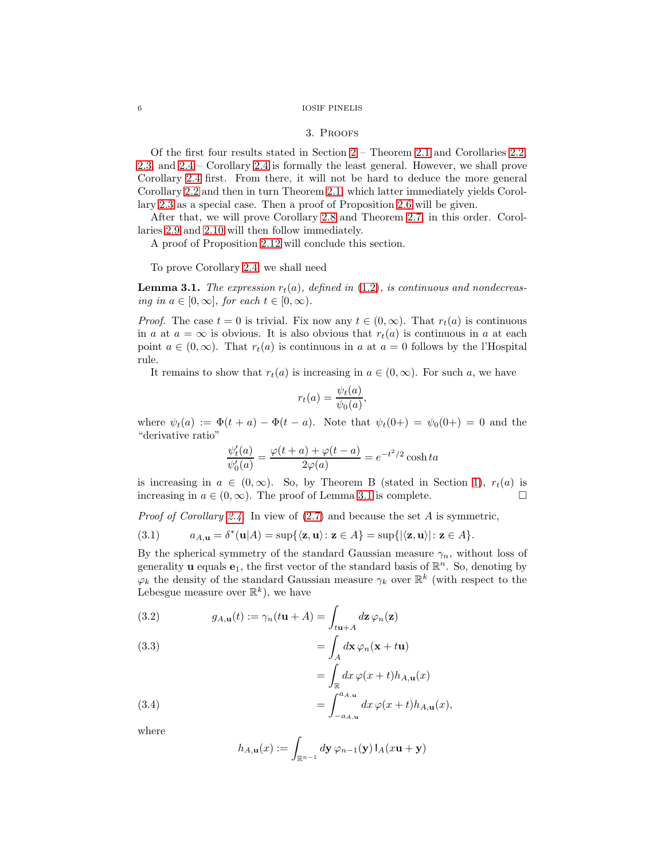### <span id="page-5-0"></span>6 IOSIF PINELIS

#### 3. Proofs

Of the first four results stated in Section [2](#page-2-6) – Theorem [2.1](#page-2-0) and Corollaries [2.2,](#page-2-1) [2.3,](#page-2-3) and [2.4](#page-2-5) – Corollary [2.4](#page-2-5) is formally the least general. However, we shall prove Corollary [2.4](#page-2-5) first. From there, it will not be hard to deduce the more general Corollary [2.2](#page-2-1) and then in turn Theorem [2.1,](#page-2-0) which latter immediately yields Corollary [2.3](#page-2-3) as a special case. Then a proof of Proposition [2.6](#page-3-6) will be given.

After that, we will prove Corollary [2.8](#page-3-2) and Theorem [2.7,](#page-3-1) in this order. Corollaries [2.9](#page-3-4) and [2.10](#page-3-5) will then follow immediately.

A proof of Proposition [2.12](#page-4-0) will conclude this section.

To prove Corollary [2.4,](#page-2-5) we shall need

<span id="page-5-1"></span>**Lemma 3.1.** The expression  $r_t(a)$ , defined in [\(1.2\)](#page-2-7), is continuous and nondecreasing in  $a \in [0, \infty]$ , for each  $t \in [0, \infty)$ .

*Proof.* The case  $t = 0$  is trivial. Fix now any  $t \in (0, \infty)$ . That  $r_t(a)$  is continuous in a at  $a = \infty$  is obvious. It is also obvious that  $r_t(a)$  is continuous in a at each point  $a \in (0,\infty)$ . That  $r_t(a)$  is continuous in a at  $a = 0$  follows by the l'Hospital rule.

It remains to show that  $r_t(a)$  is increasing in  $a \in (0, \infty)$ . For such a, we have

$$
r_t(a) = \frac{\psi_t(a)}{\psi_0(a)},
$$

where  $\psi_t(a) := \Phi(t + a) - \Phi(t - a)$ . Note that  $\psi_t(0+) = \psi_0(0+) = 0$  and the "derivative ratio"

$$
\frac{\psi_t'(a)}{\psi_0'(a)} = \frac{\varphi(t+a) + \varphi(t-a)}{2\varphi(a)} = e^{-t^2/2} \cosh ta
$$

is increasing in  $a \in (0,\infty)$ . So, by Theorem B (stated in Section [1\)](#page-0-0),  $r_t(a)$  is increasing in  $a \in (0, \infty)$ . The proof of Lemma [3.1](#page-5-1) is complete.

*Proof of Corollary [2.4.](#page-2-5)* In view of  $(2.7)$  and because the set A is symmetric,

<span id="page-5-3"></span>(3.1) 
$$
a_{A,\mathbf{u}} = \delta^*(\mathbf{u}|A) = \sup\{\langle \mathbf{z}, \mathbf{u} \rangle : \mathbf{z} \in A\} = \sup\{|\langle \mathbf{z}, \mathbf{u} \rangle| : \mathbf{z} \in A\}.
$$

By the spherical symmetry of the standard Gaussian measure  $\gamma_n$ , without loss of generality **u** equals **e**<sub>1</sub>, the first vector of the standard basis of  $\mathbb{R}^n$ . So, denoting by  $\varphi_k$  the density of the standard Gaussian measure  $\gamma_k$  over  $\mathbb{R}^k$  (with respect to the Lebesgue measure over  $\mathbb{R}^k$ ), we have

<span id="page-5-4"></span>(3.2) 
$$
g_{A,\mathbf{u}}(t) := \gamma_n(t\mathbf{u} + A) = \int_{t\mathbf{u}+A} d\mathbf{z} \,\varphi_n(\mathbf{z})
$$

(3.3)  

$$
= \int_A d\mathbf{x} \,\varphi_n(\mathbf{x} + t\mathbf{u})
$$

$$
= \int dx \,\varphi(x + t) h_{A,\mathbf{u}}(x)
$$

<span id="page-5-2"></span>(3.4) 
$$
\int_{\mathbb{R}} \int_{-a_{A,\mathbf{u}}}^{\infty} dx \varphi(x+t) h_{A,\mathbf{u}}(x),
$$

where

$$
h_{A,\mathbf{u}}(x) := \int_{\mathbb{R}^{n-1}} d\mathbf{y} \,\varphi_{n-1}(\mathbf{y}) \, I_A(x\mathbf{u} + \mathbf{y})
$$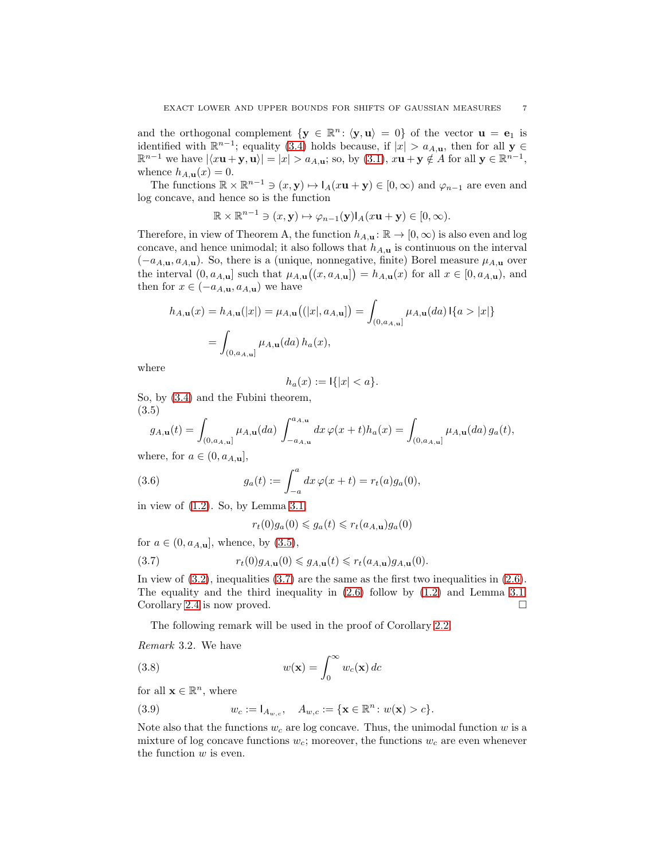and the orthogonal complement  $\{y \in \mathbb{R}^n : \langle y, u \rangle = 0\}$  of the vector  $u = e_1$  is identified with  $\mathbb{R}^{n-1}$ ; equality [\(3.4\)](#page-5-2) holds because, if  $|x| > a_{A,\mathbf{u}}$ , then for all  $\mathbf{y} \in$  $\mathbb{R}^{n-1}$  we have  $|\langle x\mathbf{u} + \mathbf{y}, \mathbf{u} \rangle| = |x| > a_{A,\mathbf{u}}$ ; so, by [\(3.1\)](#page-5-3),  $x\mathbf{u} + \mathbf{y} \notin A$  for all  $\mathbf{y} \in \mathbb{R}^{n-1}$ , whence  $h_{A,\mathbf{u}}(x)=0$ .

The functions  $\mathbb{R} \times \mathbb{R}^{n-1} \ni (x, y) \mapsto I_A(x\mathbf{u} + \mathbf{y}) \in [0, \infty)$  and  $\varphi_{n-1}$  are even and log concave, and hence so is the function

$$
\mathbb{R} \times \mathbb{R}^{n-1} \ni (x, \mathbf{y}) \mapsto \varphi_{n-1}(\mathbf{y}) I_A(x\mathbf{u} + \mathbf{y}) \in [0, \infty).
$$

Therefore, in view of Theorem A, the function  $h_{A,\mathbf{u}} : \mathbb{R} \to [0,\infty)$  is also even and log concave, and hence unimodal; it also follows that  $h_{A,\mathbf{u}}$  is continuous on the interval  $(-a_{A,\mathbf{u}}, a_{A,\mathbf{u}})$ . So, there is a (unique, nonnegative, finite) Borel measure  $\mu_{A,\mathbf{u}}$  over the interval  $(0, a_{A,\mathbf{u}}]$  such that  $\mu_{A,\mathbf{u}}((x, a_{A,\mathbf{u}}]) = h_{A,\mathbf{u}}(x)$  for all  $x \in [0, a_{A,\mathbf{u}})$ , and then for  $x \in (-a_{A,\mathbf{u}}, a_{A,\mathbf{u}})$  we have

$$
h_{A,\mathbf{u}}(x) = h_{A,\mathbf{u}}(|x|) = \mu_{A,\mathbf{u}}((|x|, a_{A,\mathbf{u}}]) = \int_{(0, a_{A,\mathbf{u}}]} \mu_{A,\mathbf{u}}(da) \, \mathbb{I}\{a > |x|\}
$$

$$
= \int_{(0, a_{A,\mathbf{u}}]} \mu_{A,\mathbf{u}}(da) \, h_a(x),
$$

where

$$
h_a(x) := \mathsf{I}\{|x| < a\}.
$$

So, by [\(3.4\)](#page-5-2) and the Fubini theorem, (3.5)

<span id="page-6-1"></span>
$$
g_{A,\mathbf{u}}(t) = \int_{(0,a_{A,\mathbf{u}}]} \mu_{A,\mathbf{u}}(da) \int_{-a_{A,\mathbf{u}}}^{a_{A,\mathbf{u}}} dx \,\varphi(x+t)h_a(x) = \int_{(0,a_{A,\mathbf{u}}]} \mu_{A,\mathbf{u}}(da) \,g_a(t),
$$

where, for  $a \in (0, a_{A,\mathbf{u}}]$ ,

(3.6) 
$$
g_a(t) := \int_{-a}^a dx \,\varphi(x+t) = r_t(a)g_a(0),
$$

in view of [\(1.2\)](#page-2-7). So, by Lemma [3.1,](#page-5-1)

<span id="page-6-4"></span><span id="page-6-2"></span>
$$
r_t(0)g_a(0) \leq g_a(t) \leq r_t(a_{A,\mathbf{u}})g_a(0)
$$

for  $a \in (0, a_{A,\mathbf{u}}]$ , whence, by  $(3.5)$ ,

(3.7) 
$$
r_t(0)g_{A,\mathbf{u}}(0) \leqslant g_{A,\mathbf{u}}(t) \leqslant r_t(a_{A,\mathbf{u}})g_{A,\mathbf{u}}(0).
$$

In view of  $(3.2)$ , inequalities  $(3.7)$  are the same as the first two inequalities in  $(2.6)$ . The equality and the third inequality in  $(2.6)$  follow by  $(1.2)$  and Lemma [3.1.](#page-5-1) Corollary [2.4](#page-2-5) is now proved. □

The following remark will be used in the proof of Corollary [2.2.](#page-2-1)

<span id="page-6-0"></span>Remark 3.2. We have

(3.8) 
$$
w(\mathbf{x}) = \int_0^\infty w_c(\mathbf{x}) \, dc
$$

for all  $\mathbf{x} \in \mathbb{R}^n$ , where

<span id="page-6-3"></span>(3.9) 
$$
w_c := I_{A_{w,c}}, \quad A_{w,c} := \{ \mathbf{x} \in \mathbb{R}^n : w(\mathbf{x}) > c \}.
$$

Note also that the functions  $w_c$  are log concave. Thus, the unimodal function w is a mixture of log concave functions  $w_c$ ; moreover, the functions  $w_c$  are even whenever the function  $w$  is even.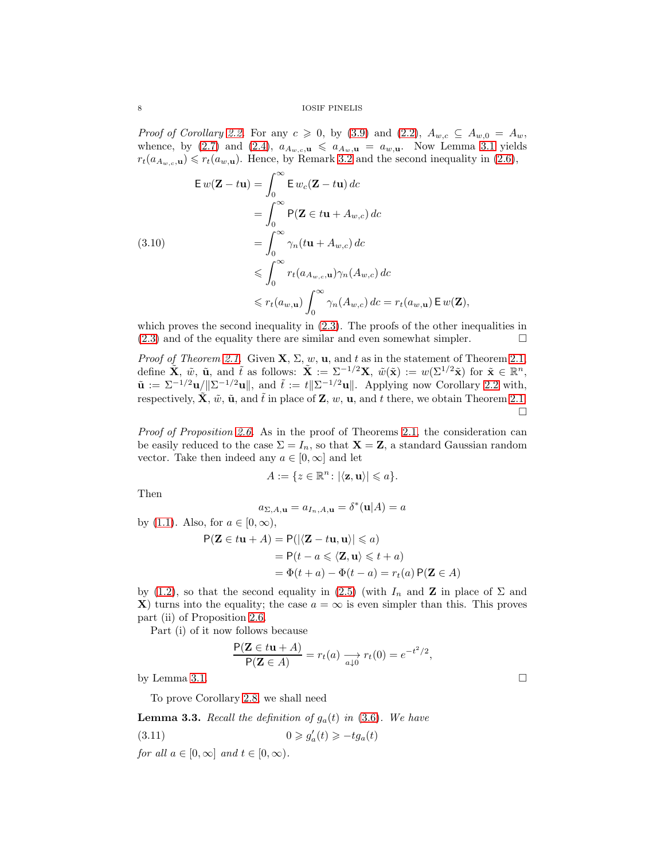8 IOSIF PINELIS

*Proof of Corollary [2.2.](#page-2-1)* For any  $c \ge 0$ , by [\(3.9\)](#page-6-3) and [\(2.2\)](#page-2-10),  $A_{w,c} \subseteq A_{w,0} = A_w$ , whence, by [\(2.7\)](#page-2-8) and [\(2.4\)](#page-2-11),  $a_{A_w,c,\mathbf{u}} \le a_{A_w,\mathbf{u}} = a_{w,\mathbf{u}}$ . Now Lemma [3.1](#page-5-1) yields  $r_t(a_{A_{w,c},u}) \leq r_t(a_{w,u})$ . Hence, by Remark [3.2](#page-6-0) and the second inequality in [\(2.6\)](#page-2-9),

<span id="page-7-2"></span>
$$
\mathbf{E} w(\mathbf{Z} - t\mathbf{u}) = \int_0^\infty \mathbf{E} w_c(\mathbf{Z} - t\mathbf{u}) \, dc
$$
  
\n
$$
= \int_0^\infty \mathsf{P}(\mathbf{Z} \in t\mathbf{u} + A_{w,c}) \, dc
$$
  
\n(3.10)  
\n
$$
= \int_0^\infty \gamma_n(t\mathbf{u} + A_{w,c}) \, dc
$$
  
\n
$$
\leqslant \int_0^\infty r_t(a_{A_{w,c},\mathbf{u}}) \gamma_n(A_{w,c}) \, dc
$$
  
\n
$$
\leqslant r_t(a_{w,\mathbf{u}}) \int_0^\infty \gamma_n(A_{w,c}) \, dc = r_t(a_{w,\mathbf{u}}) \, \mathsf{E} w(\mathbf{Z}),
$$

which proves the second inequality in  $(2.3)$ . The proofs of the other inequalities in  $(2.3)$  and of the equality there are similar and even somewhat simpler.  $\square$ 

*Proof of Theorem [2.1.](#page-2-0)* Given  $X, \Sigma, w, u$ , and t as in the statement of Theorem [2.1,](#page-2-0) define  $\tilde{\mathbf{X}}, \ \tilde{w}, \ \tilde{\mathbf{u}}, \ \text{and} \ \tilde{t}$  as follows:  $\tilde{\mathbf{X}} := \Sigma^{-1/2} \mathbf{X}, \ \tilde{w}(\tilde{\mathbf{x}}) := w(\Sigma^{1/2} \tilde{\mathbf{x}})$  for  $\tilde{\mathbf{x}} \in \mathbb{R}^n$ ,  $\tilde{\mathbf{u}} := \Sigma^{-1/2} \mathbf{u} / \|\Sigma^{-1/2} \mathbf{u}\|$ , and  $\tilde{t} := t \|\Sigma^{-1/2} \mathbf{u}\|$ . Applying now Corollary [2.2](#page-2-1) with, respectively,  $\tilde{\mathbf{X}}, \tilde{w}, \tilde{\mathbf{u}},$  and  $\tilde{t}$  in place of  $\mathbf{Z}, w, \mathbf{u}$ , and t there, we obtain Theorem [2.1.](#page-2-0)  $\Box$ 

Proof of Proposition [2.6.](#page-3-6) As in the proof of Theorems [2.1,](#page-2-0) the consideration can be easily reduced to the case  $\Sigma = I_n$ , so that  $\mathbf{X} = \mathbf{Z}$ , a standard Gaussian random vector. Take then indeed any  $a \in [0, \infty]$  and let

$$
A := \{ z \in \mathbb{R}^n : |\langle \mathbf{z}, \mathbf{u} \rangle| \leq a \}.
$$

Then

$$
a_{\Sigma,A,\mathbf{u}} = a_{I_n,A,\mathbf{u}} = \delta^*(\mathbf{u}|A) = a
$$

by [\(1.1\)](#page-1-0). Also, for  $a \in [0, \infty)$ ,  $P(Z \in tu + A) = P(|\langle Z - tu, u \rangle| \leq a)$  $= P(t - a \leq \langle \mathbf{Z}, \mathbf{u} \rangle \leq t + a)$  $=\Phi(t+a)-\Phi(t-a)=r_t(a) P(Z\in A)$ 

by [\(1.2\)](#page-2-7), so that the second equality in [\(2.5\)](#page-2-4) (with  $I_n$  and **Z** in place of  $\Sigma$  and X) turns into the equality; the case  $a = \infty$  is even simpler than this. This proves part (ii) of Proposition [2.6.](#page-3-6)

Part (i) of it now follows because

<span id="page-7-0"></span>
$$
\frac{\mathsf{P}(\mathbf{Z} \in t\mathbf{u} + A)}{\mathsf{P}(\mathbf{Z} \in A)} = r_t(a) \xrightarrow[a,1]{} r_t(0) = e^{-t^2/2},
$$

by Lemma [3.1.](#page-5-1)  $\Box$ 

To prove Corollary [2.8,](#page-3-2) we shall need

<span id="page-7-1"></span>**Lemma 3.3.** Recall the definition of  $g_a(t)$  in [\(3.6\)](#page-6-4). We have

(3.11) 
$$
0 \geqslant g'_a(t) \geqslant -tg_a(t)
$$

for all  $a \in [0,\infty]$  and  $t \in [0,\infty)$ .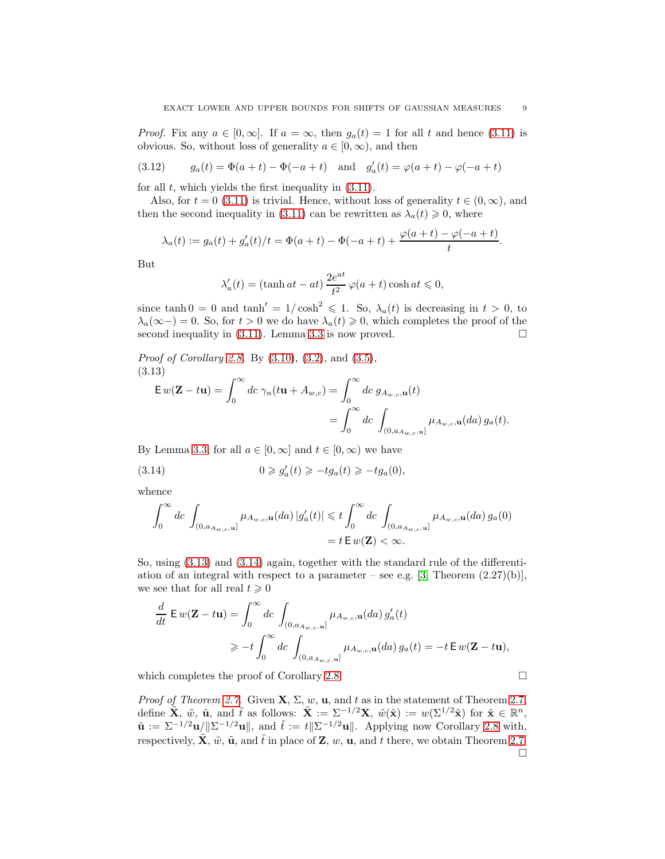*Proof.* Fix any  $a \in [0,\infty]$ . If  $a = \infty$ , then  $g_a(t) = 1$  for all t and hence [\(3.11\)](#page-7-0) is obvious. So, without loss of generality  $a \in [0, \infty)$ , and then

(3.12) 
$$
g_a(t) = \Phi(a+t) - \Phi(-a+t)
$$
 and  $g'_a(t) = \varphi(a+t) - \varphi(-a+t)$ 

for all  $t$ , which yields the first inequality in  $(3.11)$ .

Also, for  $t = 0$  [\(3.11\)](#page-7-0) is trivial. Hence, without loss of generality  $t \in (0, \infty)$ , and then the second inequality in [\(3.11\)](#page-7-0) can be rewritten as  $\lambda_a(t) \geq 0$ , where

$$
\lambda_a(t) := g_a(t) + g'_a(t)/t = \Phi(a+t) - \Phi(-a+t) + \frac{\varphi(a+t) - \varphi(-a+t)}{t}.
$$

But

$$
\lambda'_a(t) = (\tanh at - at) \frac{2e^{at}}{t^2} \varphi(a+t) \cosh at \leq 0,
$$

since tanh  $0 = 0$  and tanh' =  $1/\cosh^2 \le 1$ . So,  $\lambda_a(t)$  is decreasing in  $t > 0$ , to  $\lambda_a(\infty-) = 0$ . So, for  $t > 0$  we do have  $\lambda_a(t) \geq 0$ , which completes the proof of the second inequality in  $(3.11)$ . Lemma [3.3](#page-7-1) is now proved.

Proof of Corollary [2.8.](#page-3-2) By [\(3.10\)](#page-7-2), [\(3.2\)](#page-5-4), and [\(3.5\)](#page-6-1), (3.13)

<span id="page-8-0"></span>
$$
\mathsf{E} w(\mathbf{Z} - t\mathbf{u}) = \int_0^\infty dc \,\gamma_n(t\mathbf{u} + A_{w,c}) = \int_0^\infty dc \,g_{A_{w,c},\mathbf{u}}(t)
$$

$$
= \int_0^\infty dc \int_{(0,a_{A_{w,c},\mathbf{u}}]}\mu_{A_{w,c},\mathbf{u}}(da) \,g_a(t).
$$

By Lemma [3.3,](#page-7-1) for all  $a \in [0, \infty]$  and  $t \in [0, \infty)$  we have

(3.14) 
$$
0 \geqslant g'_a(t) \geqslant -tg_a(t) \geqslant -tg_a(0),
$$

whence

<span id="page-8-1"></span>
$$
\int_0^{\infty} dc \int_{(0,a_{A_w,c},\mathbf{u}]} \mu_{A_w,c,\mathbf{u}}(da) |g'_a(t)| \leq t \int_0^{\infty} dc \int_{(0,a_{A_w,c},\mathbf{u}]} \mu_{A_w,c,\mathbf{u}}(da) g_a(0)
$$
  
=  $t E w(\mathbf{Z}) < \infty$ .

So, using [\(3.13\)](#page-8-0) and [\(3.14\)](#page-8-1) again, together with the standard rule of the differentiation of an integral with respect to a parameter – see e.g.  $[3,$  Theorem  $(2.27)(b)$ ], we see that for all real  $t \geq 0$ 

$$
\frac{d}{dt} \mathbf{E} w(\mathbf{Z} - t\mathbf{u}) = \int_0^\infty dc \int_{(0, a_{A_{w,c}, \mathbf{u}}]} \mu_{A_{w,c}, \mathbf{u}}(da) g'_a(t)
$$
\n
$$
\ge -t \int_0^\infty dc \int_{(0, a_{A_{w,c}, \mathbf{u}}]} \mu_{A_{w,c}, \mathbf{u}}(da) g_a(t) = -t \mathbf{E} w(\mathbf{Z} - t\mathbf{u}),
$$

which completes the proof of Corollary [2.8.](#page-3-2)  $\Box$ 

*Proof of Theorem [2.7.](#page-3-1)* Given  $X, \Sigma, w, u$ , and t as in the statement of Theorem [2.7,](#page-3-1) define  $\tilde{\mathbf{X}}, \ \tilde{w}, \ \tilde{\mathbf{u}}, \ \text{and} \ \tilde{t}$  as follows:  $\tilde{\mathbf{X}} := \Sigma^{-1/2} \mathbf{X}, \ \tilde{w}(\tilde{\mathbf{x}}) := w(\Sigma^{1/2} \tilde{\mathbf{x}})$  for  $\tilde{\mathbf{x}} \in \mathbb{R}^n$ ,  $\tilde{\mathbf{u}} := \Sigma^{-1/2} \mathbf{u} / \|\Sigma^{-1/2} \mathbf{u}\|$ , and  $\tilde{t} := t \|\Sigma^{-1/2} \mathbf{u}\|$ . Applying now Corollary [2.8](#page-3-2) with, respectively,  $\tilde{\mathbf{X}}, \tilde{w}, \tilde{\mathbf{u}},$  and  $\tilde{t}$  in place of  $\mathbf{Z}, w, \mathbf{u}$ , and t there, we obtain Theorem [2.7.](#page-3-1)  $\Box$